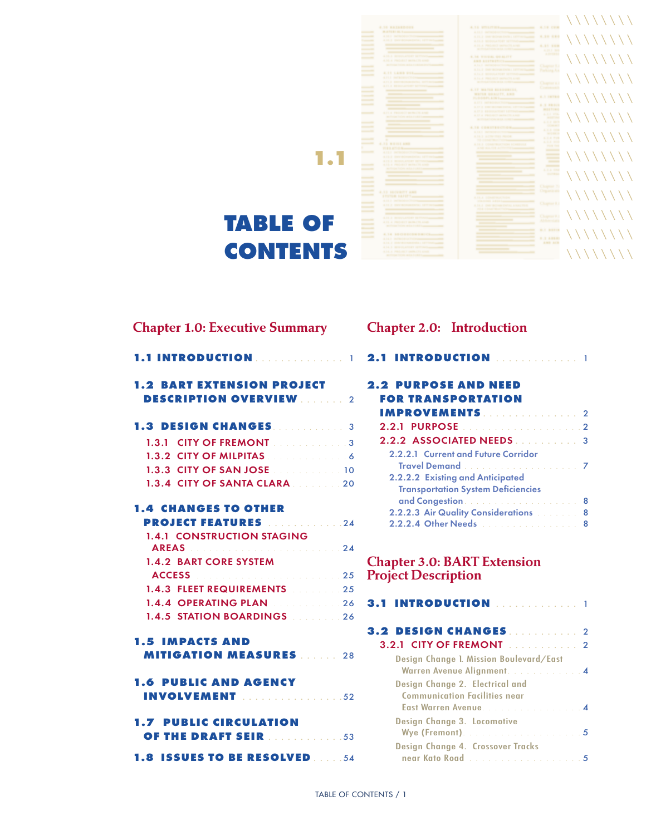

| <b>Chapter 1.0: Executive Summary</b>                            | C |
|------------------------------------------------------------------|---|
|                                                                  |   |
| <b>1.2 BART EXTENSION PROJECT</b>                                | ۶ |
| <b>DESCRIPTION OVERVIEW 2006</b>                                 |   |
| <b>1.3 DESIGN CHANGES. 2006.</b> 3                               |   |
| 1.3.1 CITY OF FREMONT <b>Contract of the State 19th Category</b> |   |
| 1.3.2 CITY OF MILPITAS <b>Contract of August 2015</b>            |   |
| 1.3.3 CITY OF SAN JOSE 2010 10 10                                |   |
| 1.3.4 CITY OF SANTA CLARA 2020                                   |   |
| <b>1.4 CHANGES TO OTHER</b>                                      |   |
| <b>PROJECT FEATURES</b> 24                                       |   |
| <b>1.4.1 CONSTRUCTION STAGING</b>                                |   |
| AREAS <b>AREAS And A Service Construction 24</b>                 |   |
| 1.4.2 BART CORE SYSTEM                                           | C |
| ACCESS <b>Manufacturer</b> 25                                    | F |
| 1.4.3 FLEET REQUIREMENTS 25                                      |   |
|                                                                  | 5 |
| 1.4.5 STATION BOARDINGS 26                                       |   |
| <b>1.5 IMPACTS AND</b>                                           | ś |
| <b>MITIGATION MEASURES</b> 28                                    |   |
| <b>1.6 PUBLIC AND AGENCY</b><br><b>INVOLVEMENT</b> 52            |   |
|                                                                  |   |
| <b>1.7 PUBLIC CIRCULATION</b>                                    |   |
| <b>OF THE DRAFT SEIR ELECTION</b> 153                            |   |
| 1.8 ISSUES TO BE RESOLVED 54                                     |   |

# Chapter 2.0: Introduction

| 2.1 INTRODUCTION  1                                               |  |
|-------------------------------------------------------------------|--|
| <b>2.2 PURPOSE AND NEED</b>                                       |  |
| <b>FOR TRANSPORTATION</b>                                         |  |
| <b>IMPROVEMENTS Example 2</b>                                     |  |
| <b>2.2.1 PURPOSE 2.2.1 PURPOSE</b>                                |  |
| <b>2.2.2 ASSOCIATED NEEDS 2.2.2 ASSOCIATED NEEDS</b>              |  |
| 2.2.2.1 Current and Future Corridor                               |  |
| Travel Demand                                                     |  |
| 2.2.2.2 Existing and Anticipated                                  |  |
| <b>Transportation System Deficiencies</b>                         |  |
| and Congestion <b>Constant Congestion</b>                         |  |
| <b>2.2.2.3 Air Quality Considerations Allegeria Burns &amp; B</b> |  |
| 2.2.2.4 Other Needs <b>Constitution of America</b> 8              |  |

# Chapter 3.0: BART Extension Project Description

| <b>3.2.1 CITY OF FREMONT Administration</b>                                                      |  |
|--------------------------------------------------------------------------------------------------|--|
| Design Change 1. Mission Boulevard/East<br>Warren Avenue Alignment. 4                            |  |
| Design Change 2. Electrical and<br><b>Communication Facilities near</b><br>East Warren Avenue. 4 |  |
| Design Change 3. Locomotive                                                                      |  |
| Design Change 4. Crossover Tracks<br>near Kato Road 5                                            |  |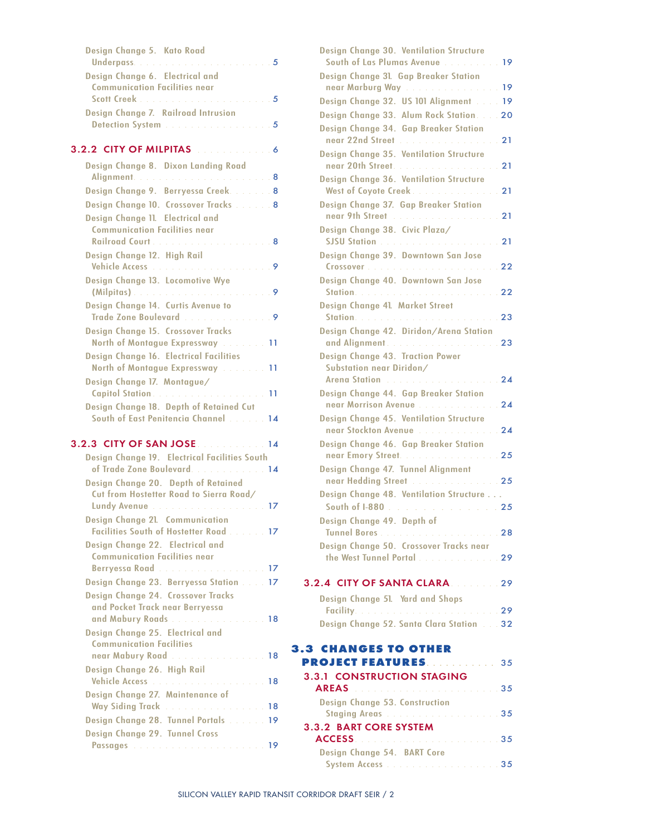| Design Change 5. Kato Road                    |  |
|-----------------------------------------------|--|
|                                               |  |
| Design Change 6. Electrical and               |  |
| <b>Communication Facilities near</b>          |  |
|                                               |  |
| Design Change 7. Railroad Intrusion           |  |
| Detection System <b>Election Control 2006</b> |  |
|                                               |  |

#### 3.2.2 CITY OF MILPITAS . . . . . . . . . . . . 6

| Design Change 8. Dixon Landing Road                                                         |
|---------------------------------------------------------------------------------------------|
|                                                                                             |
| Design Change 9. Berryessa Creek. 8                                                         |
| Design Change 10. Crossover Tracks 8                                                        |
| Design Change 11. Electrical and<br><b>Communication Facilities near</b>                    |
|                                                                                             |
| Design Change 12. High Rail                                                                 |
| Design Change 13. Locomotive Wye                                                            |
| Design Change 14. Curtis Avenue to<br>Trade Zone Boulevard <b>Construction Construction</b> |
| Design Change 15. Crossover Tracks<br>North of Montague Expressway 11                       |
| Design Change 16. Electrical Facilities<br>North of Montague Expressway 11                  |
| Design Change 17. Montague/<br>11                                                           |
| Design Change 18. Depth of Retained Cut<br>South of East Penitencia Channel<br>14           |
| 3.2.3 CITY OF SAN JOSE 2008 2009 14                                                         |
| Design Change 19. Electrical Facilities South<br>of Trade Zone Boulevard. 14                |
| Design Change 20. Depth of Retained<br>Cut from Hostetter Road to Sierra Road/              |
| Lundy Avenue and all and all and all all all all 17<br>Design Change 21. Communication      |
| Facilities South of Hostetter Road 17<br>Design Change 22. Electrical and                   |
| <b>Communication Facilities near</b><br>Berryessa Road  17                                  |
| Design Change 23. Berryessa Station 17                                                      |
| Design Change 24. Crossover Tracks<br>and Pocket Track near Berryessa                       |
| and Mabury Roads 18                                                                         |
| Design Change 25. Electrical and<br><b>Communication Facilities</b>                         |
| near Mabury Road 18<br>Design Change 26. High Rail                                          |

Vehicle Access . . . . . . . . . . . . . . . . . . 18

Way Siding Track . . . . . . . . . . . . . . . . 18 Design Change 28. Tunnel Portals . . . . . . 19

Passages . . . . . . . . . . . . . . . . . . . . . 19

Design Change 27. Maintenance of

Design Change 29. Tunnel Cross

| Design Change 30. Ventilation Structure<br>South of Las Plumas Avenue 19         |    |
|----------------------------------------------------------------------------------|----|
| Design Change 31. Gap Breaker Station                                            |    |
| near Marburg Way 19                                                              |    |
| Design Change 32. US 101 Alignment  19                                           |    |
| Design Change 33. Alum Rock Station. 20                                          |    |
| Design Change 34. Gap Breaker Station                                            |    |
| near 22nd Street                                                                 | 21 |
| Design Change 35. Ventilation Structure                                          |    |
| near 20th Street.<br>Design Change 36. Ventilation Structure                     | 21 |
| West of Coyote Creek.                                                            | 21 |
| Design Change 37. Gap Breaker Station                                            |    |
| near 9th Street <b>Street And Accept Accept Accept</b>                           | 21 |
| Design Change 38. Civic Plaza/                                                   |    |
| SJSU Station <b>And Allen Controller State State Controller</b>                  | 21 |
| Design Change 39. Downtown San Jose                                              |    |
| Design Change 40. Downtown San Jose                                              | 22 |
| Station, and a companion of the companion                                        | 22 |
| Design Change 41. Market Street                                                  |    |
|                                                                                  |    |
| Design Change 42. Diridon/Arena Station                                          |    |
| and Alignment. 23                                                                |    |
| Design Change 43. Traction Power                                                 |    |
| Substation near Diridon/<br>Arena Station <b>Markow</b> 2014 11:00 Arena Station | 24 |
| Design Change 44. Gap Breaker Station                                            |    |
| near Morrison Avenue                                                             | 24 |
| Design Change 45. Ventilation Structure                                          |    |
| near Stockton Avenue and an american                                             | 24 |
| Design Change 46. Gap Breaker Station                                            |    |
| near Emory Street.<br>Design Change 47. Tunnel Alignment                         | 25 |
| near Hedding Street 25                                                           |    |
| Design Change 48. Ventilation Structure                                          |    |
| South of 1-880 25                                                                |    |
| Design Change 49. Depth of                                                       |    |
|                                                                                  |    |
| Design Change 50. Crossover Tracks near                                          |    |
| the West Tunnel Portal 29                                                        |    |
| 3.2.4 CITY OF SANTA CLARA 29                                                     |    |
| Design Change 51. Yard and Shops                                                 |    |
|                                                                                  |    |
| Design Change 52. Santa Clara Station 32                                         |    |
|                                                                                  |    |
| <b>3.3 CHANGES TO OTHER</b>                                                      |    |
| <b>PROJECT FEATURES.</b> 35                                                      |    |
| <b>3.3.1 CONSTRUCTION STAGING</b><br>AREAS <b>Manufacturer (1994)</b> 35         |    |
| Design Change 53. Construction                                                   |    |
| Staging Areas and a contract the contract of 35                                  |    |
| <b>3.3.2 BART CORE SYSTEM</b>                                                    |    |
|                                                                                  |    |
| Design Change 54. BART Core                                                      |    |
|                                                                                  |    |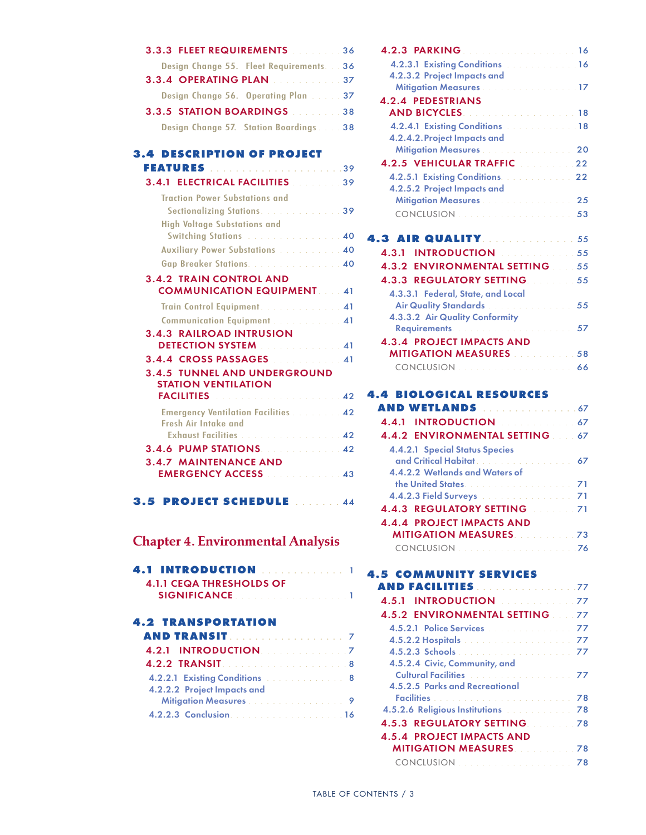# 3.3.3 Fleet Requirements . . . . . . . . 36 Design Change 55. Fleet Requirements. . . 36 **3.3.4 OPERATING PLAN . . . . . . . . . . . 37** Design Change 56. Operating Plan. . . . . 37 3.3.5 Station Boardings . . . . . . . . 38 Design Change 57. Station Boardings. . . . 38

### **3.4 Description of Project**

| <b>3.4.1 ELECTRICAL FACILITIES</b> 2006 239                              |  |
|--------------------------------------------------------------------------|--|
| <b>Traction Power Substations and</b>                                    |  |
| Sectionalizing Stations. 39                                              |  |
| <b>High Voltage Substations and</b>                                      |  |
|                                                                          |  |
| <b>Auxiliary Power Substations Automation 40</b>                         |  |
| Gap Breaker Stations. 40                                                 |  |
| <b>3.4.2 TRAIN CONTROL AND</b>                                           |  |
| <b>COMMUNICATION EQUIPMENT. 41</b>                                       |  |
| Train Control Equipment.                                                 |  |
| Communication Equipment  41                                              |  |
| <b>3.4.3 RAILROAD INTRUSION</b>                                          |  |
|                                                                          |  |
| 3.4.4 CROSS PASSAGES 2008 2009 41                                        |  |
| <b>3.4.5 TUNNEL AND UNDERGROUND</b>                                      |  |
| <b>STATION VENTILATION</b>                                               |  |
| <b>FACILITIES <i>Contract Contract Contract A2</i></b>                   |  |
| <b>Emergency Ventilation Facilities  42</b>                              |  |
| Fresh Air Intake and                                                     |  |
| Exhaust Facilities 42                                                    |  |
| 3.4.6 PUMP STATIONS 2008 2009 2009 21:42<br><b>3.4.7 MAINTENANCE AND</b> |  |
| <b>EMERGENCY ACCESS External ASS</b>                                     |  |
|                                                                          |  |

**3.5 Project Schedule** . . . . . . . 44

## Chapter 4. Environmental Analysis

| <b>4.1.1 CEQA THRESHOLDS OF</b>                                 |  |
|-----------------------------------------------------------------|--|
| <b>SIGNIFICANCE Continued and Continued at the SIGNIFICANCE</b> |  |

#### **4.2 TRANSPORTATION AND TRANSIT**. . . . . . . . . . . . . . . . . . . 7

| AND TRANSIT. 7                                                         |  |
|------------------------------------------------------------------------|--|
| 4.2.1 INTRODUCTION. And a series of 7                                  |  |
|                                                                        |  |
| <b>4.2.2.1 Existing Conditions Example 2.2.2.1 Existing Conditions</b> |  |
| 4.2.2.2 Project Impacts and                                            |  |
| Mitigation Measures 9                                                  |  |
|                                                                        |  |

| 4.2.3 PARKING 16                                           |    |
|------------------------------------------------------------|----|
| 4.2.3.1 Existing Conditions (Construction of 16)           |    |
| 4.2.3.2 Project Impacts and                                |    |
| Mitigation Measures <b>Community Additional Properties</b> |    |
| <b>4.2.4 PEDESTRIANS</b>                                   |    |
| <b>AND BICYCLES Contract Contract of the 18</b>            |    |
| 4.2.4.1 Existing Conditions and all the set of 18          |    |
| 4.2.4.2. Project Impacts and                               |    |
| Mitigation Measures 20                                     |    |
|                                                            |    |
| <b>4.2.5.1 Existing Conditions.</b> All Allen 22           |    |
| 4.2.5.2 Project Impacts and                                |    |
| Mitigation Measures                                        | 25 |
|                                                            |    |
|                                                            |    |
| <b>4.3 AIR QUALITY. 55</b>                                 |    |
| <b>INTRODUCTION Experiment 25</b><br>4.3.1                 |    |
| <b>4.3.2 ENVIRONMENTAL SETTING 55</b>                      |    |
| 4.3.3 REGULATORY SETTING 55                                |    |
| 4.3.3.1 Federal, State, and Local                          |    |
| Air Quality Standards <b>Communication</b>                 | 55 |
| 4.3.3.2 Air Quality Conformity                             |    |
|                                                            | 57 |
| <b>4.3.4 PROJECT IMPACTS AND</b>                           |    |
| <b>MITIGATION MEASURES</b> 2008 2008 58                    |    |

# **4.4 BIOLOGICAL RESOURCES**

| <b>AND WETLANDS</b> 67                              |  |
|-----------------------------------------------------|--|
| 4.4.1 INTRODUCTION 4.4.1 INTRODUCTION               |  |
| 4.4.2 ENVIRONMENTAL SETTING 67                      |  |
| <b>4.4.2.1 Special Status Species</b>               |  |
|                                                     |  |
| 4.4.2.2 Wetlands and Waters of                      |  |
| the United States. And a continuous control 21      |  |
| 4.4.2.3 Field Surveys <b>Manual According to 71</b> |  |
| 4.4.3 REGULATORY SETTING 71                         |  |
| <b>4.4.4 PROJECT IMPACTS AND</b>                    |  |
| <b>MITIGATION MEASURES</b> 23 23                    |  |
|                                                     |  |
|                                                     |  |

CONCLUSION. . . . . . . . . . . . . . . . . . . . 66

#### **4.5 community services and facilities**. . . . . . . . . . . . . . . . 77

| 4.5.1 INTRODUCTION Management 77                                         |  |
|--------------------------------------------------------------------------|--|
| <b>4.5.2 ENVIRONMENTAL SETTING 77</b>                                    |  |
| 4.5.2.1 Police Services <b>Manual Accord 2014</b>                        |  |
| <b>4.5.2.2 Hospitals All Automatic Property All Acts 27</b>              |  |
|                                                                          |  |
| 4.5.2.4 Civic, Community, and                                            |  |
| <b>Cultural Facilities <i>Collection</i></b> <i>Collection</i> <b>77</b> |  |
| 4.5.2.5 Parks and Recreational                                           |  |
|                                                                          |  |
| 4.5.2.6 Religious Institutions <b>Communist Containers</b> 78            |  |
| <b>4.5.3 REGULATORY SETTING 78</b>                                       |  |
| <b>4.5.4 PROJECT IMPACTS AND</b>                                         |  |
| <b>MITIGATION MEASURES</b> 2008/02/28                                    |  |
|                                                                          |  |
|                                                                          |  |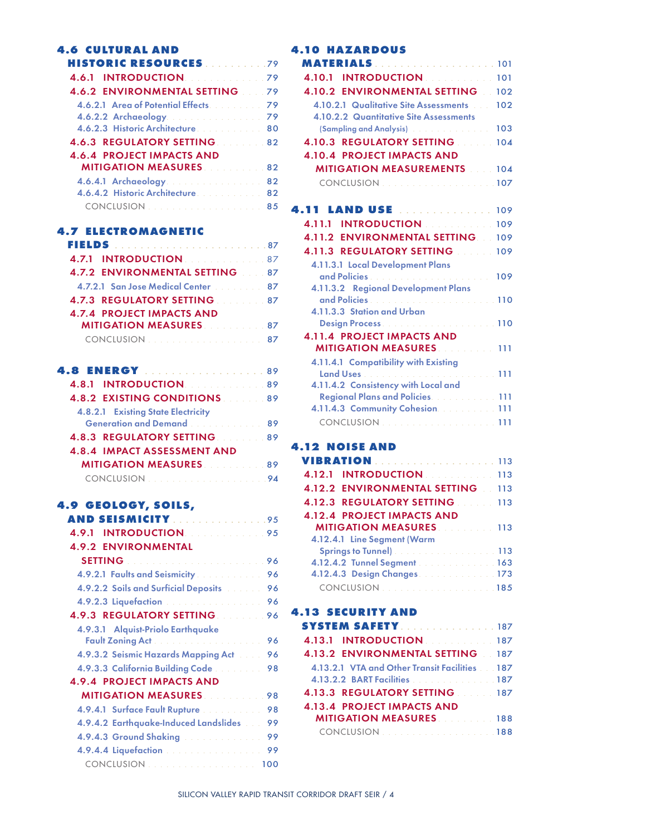| 4.6 CULTURAL AND                      |  |
|---------------------------------------|--|
| <b>HISTORIC RESOURCES</b>             |  |
|                                       |  |
| <b>4.6.2 ENVIRONMENTAL SETTING 79</b> |  |
| 4.6.2.1 Area of Potential Effects 79  |  |
| 4.6.2.2 Archaeology. 79               |  |
| 4.6.2.3 Historic Architecture. 80     |  |
| <b>4.6.3 REGULATORY SETTING 82</b>    |  |
| <b>4.6.4 PROJECT IMPACTS AND</b>      |  |
| <b>MITIGATION MEASURES</b> 82         |  |
| 4.6.4.1 Archaeology. 82               |  |
| 4.6.4.2 Historic Architecture. 82     |  |
|                                       |  |

#### **4.7 ELECTROMAGNETIC**

| <b>4.7.1 INTRODUCTION And ATT</b>                  |  |
|----------------------------------------------------|--|
| 4.7.2 ENVIRONMENTAL SETTING 87                     |  |
| <b>4.7.2.1 San Jose Medical Center Advisory 87</b> |  |
| <b>4.7.3 REGULATORY SETTING 87</b>                 |  |
| <b>4.7.4 PROJECT IMPACTS AND</b>                   |  |
| <b>MITIGATION MEASURES</b>                         |  |
|                                                    |  |

| <b>4.8.1 INTRODUCTION 4.8.1 189</b>          |  |
|----------------------------------------------|--|
| <b>4.8.2 EXISTING CONDITIONS</b> 89          |  |
| <b>4.8.2.1 Existing State Electricity</b>    |  |
| Generation and Demand <b>Community</b> 89    |  |
| <b>4.8.3 REGULATORY SETTING 89</b>           |  |
| <b>4.8.4 IMPACT ASSESSMENT AND</b>           |  |
| <b>MITIGATION MEASURES</b>                   |  |
| CONCLUSION Description of the control of 194 |  |

## **4.9 Geology, Soils,**

| AND SEISMICITY 95                                                               |
|---------------------------------------------------------------------------------|
| <b>INTRODUCTION Contract Contract Property</b><br>4.9.1                         |
| <b>4.9.2 ENVIRONMENTAL</b>                                                      |
| SETTING <b>Manufacturer and Setting</b>                                         |
| <b>4.9.2.1 Faults and Seismicity Allen and Seismicity</b><br>96                 |
| <b>4.9.2.2 Soils and Surficial Deposits Advisory</b><br>96                      |
| 4.9.2.3 Liquefaction and all and all and all and<br>96                          |
| <b>4.9.3 REGULATORY SETTING 1968</b>                                            |
| 4.9.3.1 Alguist-Priolo Earthquake                                               |
| 96                                                                              |
| <b>4.9.3.2 Seismic Hazards Mapping Act Albema</b><br>96                         |
| <b>4.9.3.3 California Building Code</b><br>98                                   |
| <b>4.9.4 PROJECT IMPACTS AND</b>                                                |
| <b>MITIGATION MEASURES</b><br>98                                                |
| <b>4.9.4.1 Surface Fault Rupture Advisor Advisor Advisor</b><br>98              |
| 4.9.4.2 Earthquake-Induced Landslides [11]<br>99                                |
| <b>4.9.4.3 Ground Shaking Advisor Contract Only 10.4.3 Ground Shaking</b><br>99 |
| 4.9.4.4 Liquefaction<br>99                                                      |
| CONCLUSION 100                                                                  |

### **4.10 HAZARDOUS**

| <b>INTRODUCTION AND RESIDENCE</b><br>4.10.1          | 101 |
|------------------------------------------------------|-----|
| 4.10.2 ENVIRONMENTAL SETTING 102                     |     |
| 4.10.2.1 Qualitative Site Assessments                | 102 |
| 4.10.2.2 Quantitative Site Assessments               |     |
|                                                      | 103 |
| 4.10.3 REGULATORY SETTING 104                        |     |
| <b>4.10.4 PROJECT IMPACTS AND</b>                    |     |
| <b>MITIGATION MEASUREMENTS</b> 104                   |     |
| CONCLUSION Description of the 107                    |     |
|                                                      |     |
| 4.11 LAND USE  109                                   |     |
| 4.11.1 INTRODUCTION 109                              |     |
| 4.11.2 ENVIRONMENTAL SETTING 109                     |     |
| 4.11.3 REGULATORY SETTING 109                        |     |
| 4.11.3.1 Local Development Plans                     |     |
|                                                      | 109 |
| 4.11.3.2 Regional Development Plans                  |     |
|                                                      |     |
| 4.11.3.3 Station and Urban                           |     |
|                                                      |     |
| <b>4.11.4 PROJECT IMPACTS AND</b>                    |     |
| <b>MITIGATION MEASURES</b> 2008 2011                 |     |
| 4.11.4.1 Compatibility with Existing                 |     |
| 4.11.4.2 Consistency with Local and                  |     |
| <b>Regional Plans and Policies. Construction 111</b> |     |
| 4.11.4.3 Community Cohesion. 111                     |     |
| CONCLUSION<br>. <b>111</b>                           |     |
|                                                      |     |
|                                                      |     |

# **4.12 NOISE AND**

| <b>VIBRATION</b> 113                               |  |
|----------------------------------------------------|--|
| 4.12.1 INTRODUCTION                                |  |
| 4.12.2 ENVIRONMENTAL SETTING 113                   |  |
| <b>4.12.3 REGULATORY SETTING 113</b>               |  |
| <b>4.12.4 PROJECT IMPACTS AND</b>                  |  |
| <b>MITIGATION MEASURES</b> 113                     |  |
| 4.12.4.1 Line Segment (Warm                        |  |
| Springs to Tunnel) and a contract of the Maria 113 |  |
| 4.12.4.2 Tunnel Segment 163                        |  |
| 4.12.4.3 Design Changes 173                        |  |
|                                                    |  |

### **4.13 Security and**

| <b>SYSTEM SAFETY</b> 187                      |
|-----------------------------------------------|
| 4.13.1 INTRODUCTION                           |
| <b>4.13.2 ENVIRONMENTAL SETTING 187</b>       |
| 4.13.2.1 VTA and Other Transit Facilities 187 |
| 4.13.2.2 BART Facilities 187                  |
| <b>4.13.3 REGULATORY SETTING 187</b>          |
|                                               |
| <b>MITIGATION MEASURES</b> 188                |
| <b>CONCLUSION CONCLUSION CONCLUSION</b>       |
|                                               |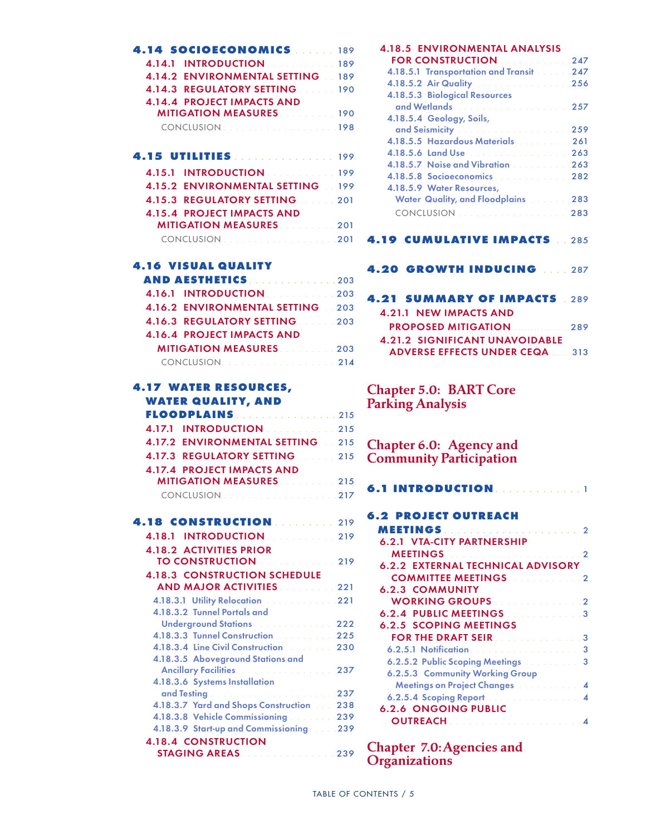| <b>4.14 SOCIOECONOMICS  189</b>         |  |
|-----------------------------------------|--|
| 4.14.1 INTRODUCTION 189                 |  |
| <b>4.14.2 ENVIRONMENTAL SETTING 189</b> |  |
| 4.14.3 REGULATORY SETTING 190           |  |
| <b>4.14.4 PROJECT IMPACTS AND</b>       |  |
| <b>MITIGATION MEASURES</b> 190          |  |
| CONCLUSION                              |  |

| 4.15 UTILITIES 199                      |
|-----------------------------------------|
| 4.15.1 INTRODUCTION 199                 |
| <b>4.15.2 ENVIRONMENTAL SETTING 199</b> |
| 4.15.3 REGULATORY SETTING 201           |
|                                         |
| <b>MITIGATION MEASURES</b> 201          |
| CONCLUSION                              |
|                                         |

### **4.16 VISUAL QUALITY**

| <b>AND AESTHETICS203</b>                |  |
|-----------------------------------------|--|
| <b>4.16.1 INTRODUCTION 203</b>          |  |
| <b>4.16.2 ENVIRONMENTAL SETTING 203</b> |  |
| <b>4.16.3 REGULATORY SETTING 203</b>    |  |
| <b>4.16.4 PROJECT IMPACTS AND</b>       |  |
| <b>MITIGATION MEASURES</b> 203          |  |
| CONCLUSION                              |  |

#### **4.17 Water Resources, Water Quality, and Floodplains**. . . . . . . . . . . . . . . . 215

| 4.17.2 ENVIRONMENTAL SETTING 215  |  |
|-----------------------------------|--|
| 4.17.3 REGULATORY SETTING 215     |  |
| <b>4.17.4 PROJECT IMPACTS AND</b> |  |
| <b>MITIGATION MEASURES</b> 215    |  |
|                                   |  |

| <b>4.18 CONSTRUCTION  219</b>                                                                                                                                                                                                      |     |
|------------------------------------------------------------------------------------------------------------------------------------------------------------------------------------------------------------------------------------|-----|
| <b>4.18.1 INTRODUCTION</b><br>$\sim$ 219                                                                                                                                                                                           |     |
| <b>4.18.2 ACTIVITIES PRIOR</b>                                                                                                                                                                                                     |     |
| <b>TO CONSTRUCTION</b><br>$\sim$ 219                                                                                                                                                                                               |     |
| <b>4.18.3 CONSTRUCTION SCHEDULE</b>                                                                                                                                                                                                |     |
| <b>AND MAJOR ACTIVITIES</b> 221                                                                                                                                                                                                    |     |
| <b>4.18.3.1 Utility Relocation Advisory 18.3.1 Utility Relocation Advisory 18.000 PM</b>                                                                                                                                           |     |
| 4.18.3.2 Tunnel Portals and                                                                                                                                                                                                        |     |
| Underground Stations <b>Community</b> 222                                                                                                                                                                                          |     |
| 4.18.3.3 Tunnel Construction <b>Construction</b> 225                                                                                                                                                                               |     |
| 4.18.3.4 Line Civil Construction 2000 230                                                                                                                                                                                          |     |
| 4.18.3.5 Aboveground Stations and                                                                                                                                                                                                  |     |
| <b>Ancillary Facilities Allen According to According the According According to According the According to According the According to According the According to According the According to According the According to Accordi</b> | 237 |
| 4.18.3.6 Systems Installation                                                                                                                                                                                                      |     |
| and Testing <b>Election Contract Contract 237</b>                                                                                                                                                                                  |     |
| 4.18.3.7 Yard and Shops Construction 2008 238                                                                                                                                                                                      |     |
| 4.18.3.8 Vehicle Commissioning <b>1.1.1.1.1.239</b>                                                                                                                                                                                |     |
| 4.18.3.9 Start-up and Commissioning239                                                                                                                                                                                             |     |
| <b>4.18.4 CONSTRUCTION</b>                                                                                                                                                                                                         |     |
| STAGING AREAS <b>State of the State 1998</b>                                                                                                                                                                                       |     |

| <b>4.18.5 ENVIRONMENTAL ANALYSIS</b>                                          |              |
|-------------------------------------------------------------------------------|--------------|
| FOR CONSTRUCTION <b>CONSTRUCTION</b>                                          |              |
| 4.18.5.1 Transportation and Transit 247                                       |              |
| 4.18.5.2 Air Quality <b>Act 2018</b> 256                                      |              |
| 4.18.5.3 Biological Resources                                                 |              |
| and Wetlands <b>Election Contract Contract Contract</b><br>$\ldots$ 257       |              |
| 4.18.5.4 Geology, Soils,                                                      |              |
| and Seismicity <b>Manual According to the Seismicity</b>                      |              |
| 4.18.5.5 Hazardous Materials and annual 261                                   |              |
| 4.18.5.6 Land Use <b>Construction Construction 263</b>                        |              |
|                                                                               |              |
| 4.18.5.8 Socioeconomics 282                                                   |              |
| 4.18.5.9 Water Resources,                                                     |              |
| Water Quality, and Floodplains and                                            | $\ldots$ 283 |
| CONCLUSION 283                                                                |              |
|                                                                               |              |
|                                                                               |              |
| <b>4.19 CUMULATIVE IMPACTS</b> 285                                            |              |
|                                                                               |              |
| <b>4.20 GROWTH INDUCING 287</b>                                               |              |
|                                                                               |              |
|                                                                               |              |
|                                                                               |              |
|                                                                               |              |
| <b>4.21 SUMMARY OF IMPACTS</b> . 289                                          |              |
| <b>4.21.1 NEW IMPACTS AND</b>                                                 |              |
| PROPOSED MITIGATION 289                                                       |              |
| <b>4.21.2 SIGNIFICANT UNAVOIDABLE</b>                                         |              |
| <b>ADVERSE EFFECTS UNDER CEQA  313</b>                                        |              |
|                                                                               |              |
|                                                                               |              |
|                                                                               |              |
| <b>Chapter 5.0: BART Core</b>                                                 |              |
| Parking Analysis                                                              |              |
|                                                                               |              |
|                                                                               |              |
|                                                                               |              |
| <b>Chapter 6.0: Agency and</b>                                                |              |
| <b>Community Participation</b>                                                |              |
|                                                                               |              |
| . 1                                                                           |              |
|                                                                               |              |
| <b>6.1 INTRODUCTION</b>                                                       |              |
| <b>6.2 PROJECT OUTREACH</b>                                                   |              |
| <b>MEETINGS</b><br>. 2<br>a na karamatan ana sa<br>6.2.1 VTA-CITY PARTNERSHIP |              |

| 6.2.1 VTA-CITY PARTNERSHIP                                                                                                                                                                                                         |                  |
|------------------------------------------------------------------------------------------------------------------------------------------------------------------------------------------------------------------------------------|------------------|
| MEETINGS <b>And the Community of the Community Community</b>                                                                                                                                                                       |                  |
| <b>6.2.2 EXTERNAL TECHNICAL ADVISORY</b>                                                                                                                                                                                           |                  |
| <b>COMMITTEE MEETINGS</b> 2                                                                                                                                                                                                        |                  |
| 6.2.3 COMMUNITY                                                                                                                                                                                                                    |                  |
| <b>WORKING GROUPS</b> 2008 2009 2009                                                                                                                                                                                               |                  |
| <b>6.2.4 PUBLIC MEETINGS</b><br>. The set of the set of the set of $3$                                                                                                                                                             |                  |
| <b>6.2.5 SCOPING MEETINGS</b>                                                                                                                                                                                                      |                  |
| <b>FOR THE DRAFT SEIR Experience and START SEIR</b>                                                                                                                                                                                |                  |
| <b>6.2.5.1 Notification 6.2.5.1 Notification</b>                                                                                                                                                                                   |                  |
| <b>6.2.5.2 Public Scoping Meetings Activities 10.3</b>                                                                                                                                                                             |                  |
| 6.2.5.3 Community Working Group                                                                                                                                                                                                    |                  |
| Meetings on Project Changes and a control of                                                                                                                                                                                       | $\boldsymbol{A}$ |
| <b>6.2.5.4 Scoping Report 2000 Contract of Advisor 4</b>                                                                                                                                                                           |                  |
| <b>6.2.6 ONGOING PUBLIC</b>                                                                                                                                                                                                        |                  |
| <b>OUTREACH Contract Contract Contract Contract Contract Contract Contract Contract Contract Contract Contract Contract Contract Contract Contract Contract Contract Contract Contract Contract Contract Contract Contract Con</b> | ◢                |

Chapter 7.0:Agencies and Organizations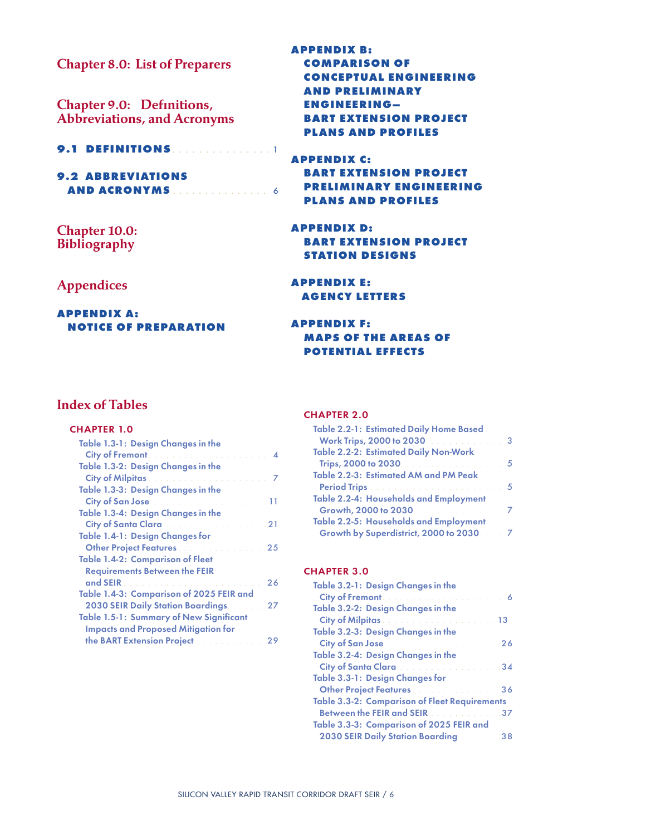Chapter 8.0: List of Preparers

Chapter 9.0: Definitions, Abbreviations, and Acronyms

#### **9.1 DEFINITIONS**. . . . . . . . . . . . . . . 1

**9.2 ABBREVIATIONS AND ACRONYMS**. . . . . . . . . . . . . . . . 6

Chapter 10.0: Bibliography

### Appendices

**Appendix A: Notice of preparation** **Appendix B: comparison of conceptual engineering and preliminary engineering– bart extension project plans and profiles**

**Appendix C: bart extension project preliminary engineering plans and profiles**

**Appendix D: bart extension project station designs**

**Appendix E: agency letters**

**Appendix F: maps of the areas of potential effects**

### Index of Tables

#### CHAPTER 1.0

| Table 1.3-1: Design Changes in the                                                                                                                                                                                                   |    |
|--------------------------------------------------------------------------------------------------------------------------------------------------------------------------------------------------------------------------------------|----|
| <b>City of Fremont</b> Market Market Market Market 194                                                                                                                                                                               |    |
| Table 1.3-2: Design Changes in the                                                                                                                                                                                                   |    |
|                                                                                                                                                                                                                                      |    |
| Table 1.3-3: Design Changes in the                                                                                                                                                                                                   |    |
| City of San Jose <b>Contract Contract Contract Contract Contract Contract Contract Contract Contract Contract Contract Contract Contract Contract Contract Contract Contract Contract Contract Contract Contract Contract Contra</b> |    |
| Table 1.3-4: Design Changes in the                                                                                                                                                                                                   |    |
| City of Santa Clara <b>Cancelling City of Santa Clara</b>                                                                                                                                                                            |    |
| Table 1.4-1: Design Changes for                                                                                                                                                                                                      |    |
|                                                                                                                                                                                                                                      |    |
| <b>Table 1.4-2: Comparison of Fleet</b>                                                                                                                                                                                              |    |
| <b>Requirements Between the FEIR</b>                                                                                                                                                                                                 |    |
|                                                                                                                                                                                                                                      | 26 |
| Table 1.4-3: Comparison of 2025 FEIR and                                                                                                                                                                                             |    |
| <b>2030 SEIR Daily Station Boardings.</b> 27                                                                                                                                                                                         |    |
| Table 1.5-1: Summary of New Significant                                                                                                                                                                                              |    |
| <b>Impacts and Proposed Mitigation for</b>                                                                                                                                                                                           |    |
| the BART Extension Project                                                                                                                                                                                                           | 29 |

#### CHAPTER 2.0

| <b>Table 2.2-1: Estimated Daily Home Based</b>                   |  |
|------------------------------------------------------------------|--|
| Work Trips, 2000 to 2030 <b>Construction</b> 2000 <b>State 3</b> |  |
| <b>Table 2.2-2: Estimated Daily Non-Work</b>                     |  |
| Trips, 2000 to 2030. 5                                           |  |
| Table 2.2-3: Estimated AM and PM Peak                            |  |
|                                                                  |  |
| Table 2.2-4: Households and Employment                           |  |
| Growth, 2000 to 2030 <b>Construction of 7</b>                    |  |
| Table 2.2-5: Households and Employment                           |  |
| Growth by Superdistrict, 2000 to 2030. 7                         |  |

#### CHAPTER 3.0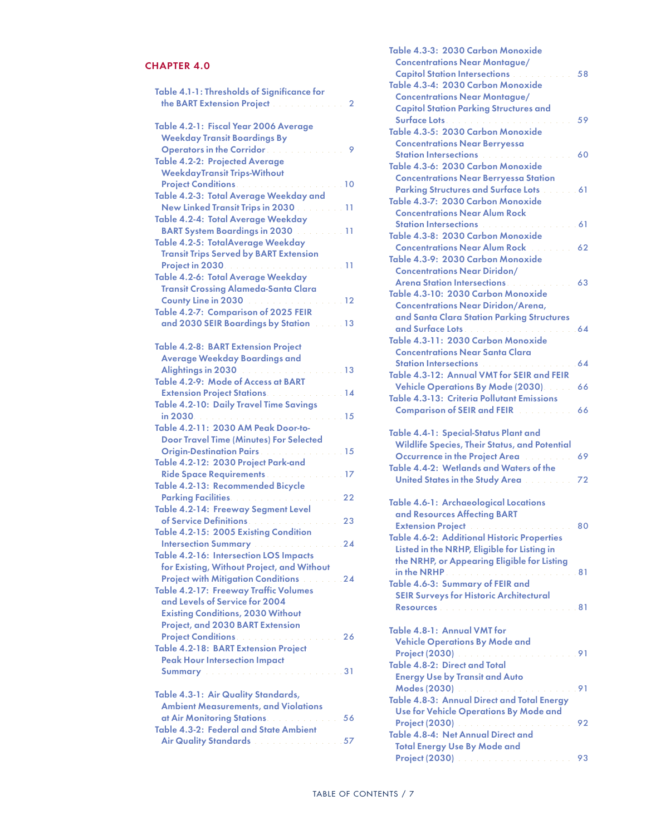### CHAPTER 4.0

| Table 4.1-1: Thresholds of Significance for<br>the BART Extension Project [11] [11]<br><b>Service</b>                                                                         | 2        |
|-------------------------------------------------------------------------------------------------------------------------------------------------------------------------------|----------|
| Table 4.2-1: Fiscal Year 2006 Average<br><b>Weekday Transit Boardings By</b>                                                                                                  |          |
| Operators in the Corridor. And a series of<br><b>Table 4.2-2: Projected Average</b><br><b>WeekdayTransit Trips-Without</b>                                                    | 9        |
| Table 4.2-3: Total Average Weekday and<br>New Linked Transit Trips in 2030                                                                                                    | 11       |
| Table 4.2-4: Total Average Weekday<br><b>BART System Boardings in 2030 Contains 11</b>                                                                                        |          |
| Table 4.2-5: TotalAverage Weekday<br><b>Transit Trips Served by BART Extension</b>                                                                                            |          |
| Table 4.2-6: Total Average Weekday<br><b>Transit Crossing Alameda-Santa Clara</b>                                                                                             |          |
| County Line in 2030 12<br>Table 4.2-7: Comparison of 2025 FEIR<br>and 2030 SEIR Boardings by Station 2008.13                                                                  |          |
| <b>Table 4.2-8: BART Extension Project</b>                                                                                                                                    |          |
| <b>Average Weekday Boardings and</b><br>Alightings in 2030 <b>Contract Contract Contract 13</b><br>Table 4.2-9: Mode of Access at BART                                        |          |
| <b>Extension Project Stations Access 2008 2009 14</b><br>Table 4.2-10: Daily Travel Time Savings                                                                              |          |
| Table 4.2-11: 2030 AM Peak Door-to-                                                                                                                                           |          |
| <b>Door Travel Time (Minutes) For Selected</b><br>Origin-Destination Pairs 15<br>Table 4.2-12: 2030 Project Park-and                                                          |          |
| Ride Space Requirements<br>Table 4.2-13: Recommended Bicycle                                                                                                                  | 17       |
| Parking Facilities. And a continuous and a<br>Table 4.2-14: Freeway Segment Level<br>of Service Definitions.                                                                  | 22<br>23 |
| Table 4.2-15: 2005 Existing Condition<br>Intersection Summary <b>Manual According to 24</b>                                                                                   |          |
| Table 4.2-16: Intersection LOS Impacts<br>for Existing, Without Project, and Without<br><b>Project with Mitigation Conditions 24</b><br>Table 4.2-17: Freeway Traffic Volumes |          |
| and Levels of Service for 2004<br><b>Existing Conditions, 2030 Without</b><br>Project, and 2030 BART Extension                                                                |          |
| Project Conditions.<br><b>Table 4.2-18: BART Extension Project</b><br><b>Peak Hour Intersection Impact</b>                                                                    | 26       |
| Summary <b>Electronic Contract Contract Contract 231</b>                                                                                                                      |          |
| Table 4.3-1: Air Quality Standards,<br><b>Ambient Measurements, and Violations</b><br>at Air Monitoring Stations. And Air Monitoring                                          | 56       |
| Table 4.3-2: Federal and State Ambient<br>Air Quality Standards <b>Communication</b> 57                                                                                       |          |

| Table 4.3-3: 2030 Carbon Monoxide<br><b>Concentrations Near Montague/</b><br><b>Capitol Station Intersections Advisory</b><br>Table 4.3-4: 2030 Carbon Monoxide                                                                                                                                                                           | 58  |
|-------------------------------------------------------------------------------------------------------------------------------------------------------------------------------------------------------------------------------------------------------------------------------------------------------------------------------------------|-----|
| <b>Concentrations Near Montague/</b><br><b>Capitol Station Parking Structures and</b>                                                                                                                                                                                                                                                     | 59  |
| Table 4.3-5: 2030 Carbon Monoxide<br><b>Concentrations Near Berryessa</b>                                                                                                                                                                                                                                                                 |     |
| <b>Station Intersections <i>Community</i></b><br>Table 4.3-6: 2030 Carbon Monoxide<br><b>Concentrations Near Berryessa Station</b>                                                                                                                                                                                                        | 60  |
| Parking Structures and Surface Lots [11, 11, 11, 16]<br>Table 4.3-7: 2030 Carbon Monoxide<br><b>Concentrations Near Alum Rock</b>                                                                                                                                                                                                         |     |
| Station Intersections (Communication of the 1996)<br>Table 4.3-8: 2030 Carbon Monoxide                                                                                                                                                                                                                                                    |     |
| <b>Concentrations Near Alum Rock Report Service Service Service Service Service Service</b><br>Table 4.3-9: 2030 Carbon Monoxide<br><b>Concentrations Near Diridon/</b>                                                                                                                                                                   | 62  |
| <b>Arena Station Intersections Arena Station Intersections</b><br>Table 4.3-10: 2030 Carbon Monoxide                                                                                                                                                                                                                                      | 63  |
| <b>Concentrations Near Diridon/Arena,</b><br>and Santa Clara Station Parking Structures                                                                                                                                                                                                                                                   |     |
| and Surface Lots<br>Table 4.3-11: 2030 Carbon Monoxide<br><b>Concentrations Near Santa Clara</b>                                                                                                                                                                                                                                          | .64 |
| Station Intersections and a construction of<br>Table 4.3-12: Annual VMT for SEIR and FEIR                                                                                                                                                                                                                                                 | 64  |
| Vehicle Operations By Mode (2030).<br><b>Table 4.3-13: Criteria Pollutant Emissions</b>                                                                                                                                                                                                                                                   | 66  |
| <b>Comparison of SEIR and FEIR Advisory of SEIR</b>                                                                                                                                                                                                                                                                                       | 66  |
| Table 4.4-1: Special-Status Plant and<br><b>Wildlife Species, Their Status, and Potential</b>                                                                                                                                                                                                                                             |     |
| Occurrence in the Project Area <b>Allen Area</b><br>Table 4.4-2: Wetlands and Waters of the                                                                                                                                                                                                                                               | 69  |
| United States in the Study Area <b>Community</b>                                                                                                                                                                                                                                                                                          | 72  |
| Table 4.6-1: Archaeological Locations<br>and Resources Affecting BART                                                                                                                                                                                                                                                                     |     |
| <b>Extension Project Administration of the Extension Project Administration of the Extension Control Control Control Control Control Control Control Control Control Control Control Control Control Control Control Control Con</b><br><b>Table 4.6-2: Additional Historic Properties</b><br>Listed in the NRHP, Eligible for Listing in | 80  |
| the NRHP, or Appearing Eligible for Listing<br>Table 4.6-3: Summary of FEIR and                                                                                                                                                                                                                                                           |     |
| <b>SEIR Surveys for Historic Architectural</b><br>Resources<br>. 81                                                                                                                                                                                                                                                                       |     |
| Table 4.8-1: Annual VMT for                                                                                                                                                                                                                                                                                                               |     |
| <b>Vehicle Operations By Mode and</b><br>Table 4.8-2: Direct and Total                                                                                                                                                                                                                                                                    |     |
| <b>Energy Use by Transit and Auto</b><br>Table 4.8-3: Annual Direct and Total Energy                                                                                                                                                                                                                                                      |     |
| Use for Vehicle Operations By Mode and                                                                                                                                                                                                                                                                                                    | 92  |
| Table 4.8-4: Net Annual Direct and<br><b>Total Energy Use By Mode and</b>                                                                                                                                                                                                                                                                 |     |
|                                                                                                                                                                                                                                                                                                                                           | 93  |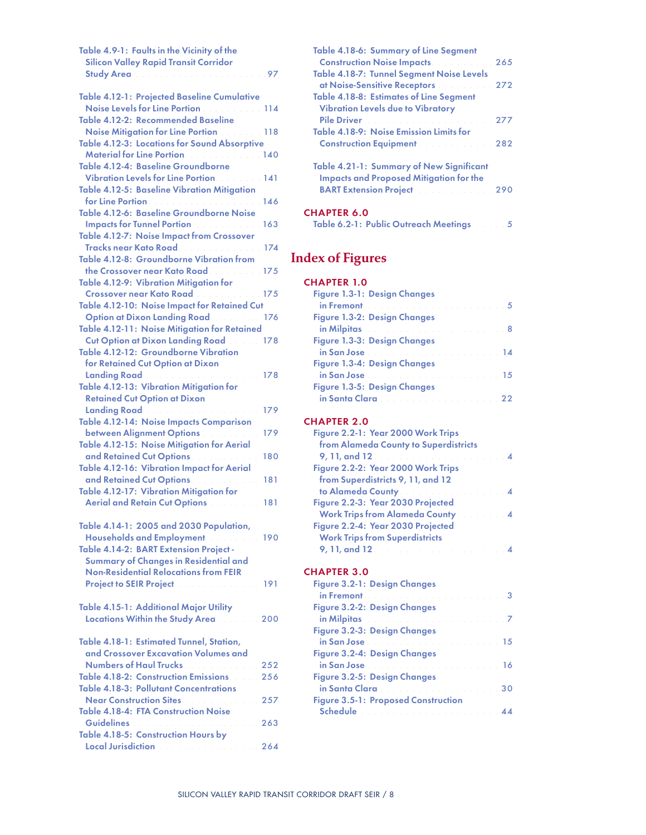| Table 4.9-1: Faults in the Vicinity of the                                               |     |
|------------------------------------------------------------------------------------------|-----|
| <b>Silicon Valley Rapid Transit Corridor</b>                                             |     |
|                                                                                          | .97 |
| Table 4.12-1: Projected Baseline Cumulative                                              |     |
| Noise Levels for Line Portion <b>Communist 194</b>                                       |     |
| Table 4.12-2: Recommended Baseline                                                       |     |
| Noise Mitigation for Line Portion <b>Noise Mitigation</b>                                |     |
| Table 4.12-3: Locations for Sound Absorptive                                             |     |
| Material for Line Portion. 140                                                           |     |
| Table 4.12-4: Baseline Groundborne                                                       |     |
| Vibration Levels for Line Portion. 141                                                   |     |
| <b>Table 4.12-5: Baseline Vibration Mitigation</b>                                       |     |
|                                                                                          |     |
| Table 4.12-6: Baseline Groundborne Noise                                                 |     |
| <b>Impacts for Tunnel Portion Advisory 2004</b>                                          |     |
| Table 4.12-7: Noise Impact from Crossover                                                |     |
| Tracks near Kato Road. 174                                                               |     |
| Table 4.12-8: Groundborne Vibration from                                                 |     |
| the Crossover near Kato Road. 175                                                        |     |
| Table 4.12-9: Vibration Mitigation for                                                   |     |
| Crossover near Kato Road 175                                                             |     |
| Table 4.12-10: Noise Impact for Retained Cut                                             |     |
| Option at Dixon Landing Road. 176                                                        |     |
| Table 4.12-11: Noise Mitigation for Retained                                             |     |
| <b>Cut Option at Dixon Landing Road</b> 2008. 178                                        |     |
| Table 4.12-12: Groundborne Vibration                                                     |     |
| for Retained Cut Option at Dixon                                                         |     |
|                                                                                          | 178 |
| Table 4.12-13: Vibration Mitigation for                                                  |     |
| <b>Retained Cut Option at Dixon</b>                                                      |     |
| Landing Road <b>Communication</b> Communication                                          | 179 |
| Table 4.12-14: Noise Impacts Comparison                                                  | 179 |
| between Alignment Options and all                                                        |     |
| Table 4.12-15: Noise Mitigation for Aerial<br>and Retained Cut Options. All and Retained | 180 |
| Table 4.12-16: Vibration Impact for Aerial                                               |     |
| and Retained Cut Options. And Allen and                                                  | 181 |
| Table 4.12-17: Vibration Mitigation for                                                  |     |
| Aerial and Retain Cut Options [199]                                                      |     |
|                                                                                          |     |
| Table 4.14-1: 2005 and 2030 Population,                                                  |     |
| Households and Employment and all 190                                                    |     |
| Table 4.14-2: BART Extension Project-                                                    |     |
| Summary of Changes in Residential and                                                    |     |
| <b>Non-Residential Relocations from FEIR</b>                                             |     |
| Project to SEIR Project <b>Constitution Constitution</b> 191                             |     |
|                                                                                          |     |
| Table 4.15-1: Additional Major Utility                                                   |     |
| Locations Within the Study Area. 200                                                     |     |
|                                                                                          |     |
| Table 4.18-1: Estimated Tunnel, Station,                                                 |     |
| and Crossover Excavation Volumes and                                                     |     |
|                                                                                          |     |
| Table 4.18-2: Construction Emissions. 256                                                |     |
| <b>Table 4.18-3: Pollutant Concentrations</b>                                            |     |
| Near Construction Sites <b>Construction Sites</b>                                        |     |
| <b>Table 4.18-4: FTA Construction Noise</b>                                              |     |
|                                                                                          |     |
| Table 4.18-5: Construction Hours by                                                      |     |
| Local Jurisdiction and a contract the contract                                           | 264 |

| Table 4.18-6: Summary of Line Segment<br><b>Construction Noise Impacts. Construction Noise Impacts</b><br><b>Table 4.18-7: Tunnel Segment Noise Levels</b> | 265 |
|------------------------------------------------------------------------------------------------------------------------------------------------------------|-----|
| at Noise-Sensitive Receptors <b>Communication</b> 272                                                                                                      |     |
| <b>Table 4.18-8: Estimates of Line Segment</b><br><b>Vibration Levels due to Vibratory</b>                                                                 |     |
| Pile Driver and a construction of the construction                                                                                                         | 277 |
| Table 4.18-9: Noise Emission Limits for                                                                                                                    |     |
| <b>Construction Equipment Construction Equipment</b>                                                                                                       |     |
| Table 4.21-1: Summary of New Significant<br><b>Impacts and Proposed Mitigation for the</b><br><b>BART Extension Project Manual Act 290</b>                 |     |
| <b>CHAPTER 6.0</b>                                                                                                                                         |     |

Table 6.2-1: Public Outreach Meetings . . . . . 5

# Index of Figures

### CHAPTER 1.0

| Figure 1.3-1: Design Changes                     |  |
|--------------------------------------------------|--|
|                                                  |  |
| Figure 1.3-2: Design Changes                     |  |
| in Milpitas and a contract the contract of the 8 |  |
| Figure 1.3-3: Design Changes                     |  |
|                                                  |  |
| Figure 1.3-4: Design Changes                     |  |
|                                                  |  |
| Figure 1.3-5: Design Changes                     |  |
|                                                  |  |

### CHAPTER 2.0

| Figure 2.2-1: Year 2000 Work Trips                |  |
|---------------------------------------------------|--|
| from Alameda County to Superdistricts             |  |
|                                                   |  |
| Figure 2.2-2: Year 2000 Work Trips                |  |
| from Superdistricts 9, 11, and 12                 |  |
| to Alameda County. And a series and a series of 4 |  |
| Figure 2.2-3: Year 2030 Projected                 |  |
| <b>Work Trips from Alameda County Marshall 4</b>  |  |
| Figure 2.2-4: Year 2030 Projected                 |  |
| <b>Work Trips from Superdistricts</b>             |  |
|                                                   |  |
|                                                   |  |

#### CHAPTER 3.0

| Figure 3.2-1: Design Changes                                                                                  |                  |
|---------------------------------------------------------------------------------------------------------------|------------------|
|                                                                                                               |                  |
| Figure 3.2-2: Design Changes                                                                                  |                  |
| in Milpitas and a construction of the construction 7                                                          |                  |
| Figure 3.2-3: Design Changes                                                                                  |                  |
| in San Jose (1996) and the contract of the San Joseph San Joseph Street, and the San Joseph Street, and the S |                  |
| Figure 3.2-4: Design Changes                                                                                  |                  |
| in San Jose (1996) and the contract of the San Joseph San Joseph Street, and the San Joseph Street, and the S |                  |
| Figure 3.2-5: Design Changes                                                                                  |                  |
|                                                                                                               | 30               |
| <b>Figure 3.5-1: Proposed Construction</b>                                                                    |                  |
| Schedule and the company of the state of the state of the state of the state of the state of the state of the | $\Lambda\Lambda$ |
|                                                                                                               |                  |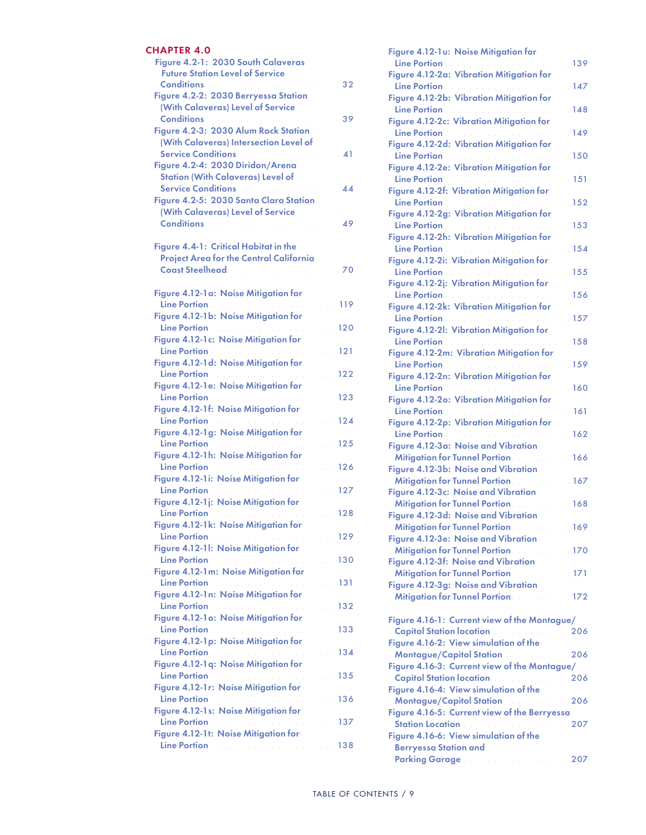### CHAPTER 4.0

| Figure 4.2-1: 2030 South Calaveras<br><b>Future Station Level of Service</b>    |                 |
|---------------------------------------------------------------------------------|-----------------|
| Conditions <b>Conditions Conditions</b><br>Figure 4.2-2: 2030 Berryessa Station |                 |
| (With Calaveras) Level of Service<br><b>Conditions Conditions Conditions</b>    | 39              |
| Figure 4.2-3: 2030 Alum Rock Station                                            |                 |
| (With Calaveras) Intersection Level of<br>Service Conditions                    | 41              |
| Figure 4.2-4: 2030 Diridon/Arena                                                |                 |
| <b>Station (With Calaveras) Level of</b>                                        |                 |
| Service Conditions<br>Figure 4.2-5: 2030 Santa Clara Station                    | $\overline{44}$ |
| (With Calaveras) Level of Service                                               |                 |
| Conditions <b>Conditions Conditions</b>                                         |                 |
| Figure 4.4-1: Critical Habitat in the                                           |                 |
| <b>Project Area for the Central California</b>                                  | 70              |
|                                                                                 |                 |
| Figure 4.12-1a: Noise Mitigation for                                            | 119             |
| Figure 4.12-1b: Noise Mitigation for                                            |                 |
| Figure 4.12-1c: Noise Mitigation for                                            |                 |
|                                                                                 |                 |
| Figure 4.12-1d: Noise Mitigation for                                            |                 |
| Figure 4.12-1e: Noise Mitigation for                                            |                 |
| Figure 4.12-1f: Noise Mitigation for                                            |                 |
|                                                                                 |                 |
| Figure 4.12-1g: Noise Mitigation for                                            |                 |
| Figure 4.12-1h: Noise Mitigation for                                            |                 |
| Figure 4.12-1i: Noise Mitigation for                                            |                 |
|                                                                                 |                 |
| Figure 4.12-1j: Noise Mitigation for                                            |                 |
| Figure 4.12-1k: Noise Mitigation for                                            |                 |
|                                                                                 |                 |
| Figure 4.12-11: Noise Mitigation for                                            |                 |
| Figure 4.12-1m: Noise Mitigation for                                            |                 |
| Figure 4.12-1n: Noise Mitigation for                                            |                 |
|                                                                                 |                 |
| Figure 4.12-1 o: Noise Mitigation for                                           |                 |
| Figure 4.12-1p: Noise Mitigation for                                            |                 |
| Figure 4.12-1q: Noise Mitigation for                                            |                 |
|                                                                                 |                 |
| Figure 4.12-1r: Noise Mitigation for                                            |                 |
| Figure 4.12-1s: Noise Mitigation for                                            |                 |
| Figure 4.12-1t: Noise Mitigation for                                            |                 |
|                                                                                 |                 |

| Figure 4.12-1u: Noise Mitigation for                    |     |
|---------------------------------------------------------|-----|
| <b>Line Portion</b>                                     | 139 |
| Figure 4.12-2a: Vibration Mitigation for                |     |
| <b>Line Portion</b>                                     | 147 |
| Figure 4.12-2b: Vibration Mitigation for                |     |
| <b>Line Portion</b>                                     | 148 |
| Figure 4.12-2c: Vibration Mitigation for                |     |
| Line Portion                                            | 149 |
|                                                         |     |
| Figure 4.12-2d: Vibration Mitigation for                |     |
| Line Portion                                            | 150 |
| Figure 4.12-2e: Vibration Mitigation for                |     |
| Line Portion                                            | 151 |
| Figure 4.12-2f: Vibration Mitigation for                |     |
| Line Portion.                                           | 152 |
| Figure 4.12-2g: Vibration Mitigation for                |     |
| <b>Line Portion</b>                                     | 153 |
| Figure 4.12-2h: Vibration Mitigation for                |     |
| <b>Line Portion</b>                                     | 154 |
| Figure 4.12-2i: Vibration Mitigation for                |     |
| Line Portion                                            | 155 |
| Figure 4.12-2j: Vibration Mitigation for                |     |
|                                                         |     |
| Line Portion                                            | 156 |
| Figure 4.12-2k: Vibration Mitigation for                |     |
| Line Portion <b>Contract Portion</b>                    | 157 |
| Figure 4.12-21: Vibration Mitigation for                |     |
| <b>Line Portion</b>                                     | 158 |
| Figure 4.12-2m: Vibration Mitigation for                |     |
| <b>Line Portion</b>                                     | 159 |
| Figure 4.12-2n: Vibration Mitigation for                |     |
| <b>Line Portion</b>                                     | 160 |
| Figure 4.12-2o: Vibration Mitigation for                |     |
| <b>Line Portion</b>                                     | 161 |
|                                                         |     |
| Figure 4.12-2p: Vibration Mitigation for                |     |
| <b>Line Portion</b>                                     | 162 |
| Figure 4.12-3a: Noise and Vibration                     |     |
| <b>Mitigation for Tunnel Portion And The Mitigation</b> | 166 |
| Figure 4.12-3b: Noise and Vibration                     |     |
| <b>Mitigation for Tunnel Portion Advisory</b>           | 167 |
| Figure 4.12-3c: Noise and Vibration                     |     |
| <b>Mitigation for Tunnel Portion</b>                    | 168 |
| Figure 4.12-3d: Noise and Vibration                     |     |
| Mitigation for Tunnel Portion <b>Community</b> 169      |     |
| Figure 4.12-3e: Noise and Vibration                     |     |
| Mitigation for Tunnel Portion <b>Community</b> 170      |     |
| Figure 4.12-3f: Noise and Vibration                     |     |
| Mitigation for Tunnel Portion <b>Community</b> 171      |     |
|                                                         |     |
| Figure 4.12-3g: Noise and Vibration                     |     |
| Mitigation for Tunnel Portion <b>Community</b> 172      |     |
|                                                         |     |
| Figure 4.16-1: Current view of the Montague/            |     |
| Capitol Station location <b>Community</b> 206           |     |
|                                                         |     |
| Figure 4.16-2: View simulation of the                   |     |
| Montague/Capitol Station 2000 2006                      |     |
|                                                         |     |
| Figure 4.16-3: Current view of the Montague/            |     |
| Capitol Station location <b>Community 2006</b>          |     |
| Figure 4.16-4: View simulation of the                   |     |
| Montague/Capitol Station 206                            |     |
| Figure 4.16-5: Current view of the Berryessa            |     |
| Station Location <b>Constitution Constitution</b> 207   |     |
| Figure 4.16-6: View simulation of the                   |     |
| <b>Berryessa Station and</b>                            |     |